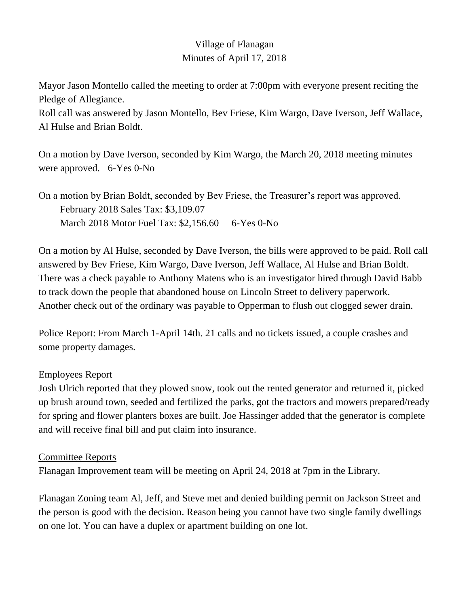# Village of Flanagan Minutes of April 17, 2018

Mayor Jason Montello called the meeting to order at 7:00pm with everyone present reciting the Pledge of Allegiance.

Roll call was answered by Jason Montello, Bev Friese, Kim Wargo, Dave Iverson, Jeff Wallace, Al Hulse and Brian Boldt.

On a motion by Dave Iverson, seconded by Kim Wargo, the March 20, 2018 meeting minutes were approved. 6-Yes 0-No

On a motion by Brian Boldt, seconded by Bev Friese, the Treasurer's report was approved. February 2018 Sales Tax: \$3,109.07 March 2018 Motor Fuel Tax: \$2,156.60 6-Yes 0-No

On a motion by Al Hulse, seconded by Dave Iverson, the bills were approved to be paid. Roll call answered by Bev Friese, Kim Wargo, Dave Iverson, Jeff Wallace, Al Hulse and Brian Boldt. There was a check payable to Anthony Matens who is an investigator hired through David Babb to track down the people that abandoned house on Lincoln Street to delivery paperwork. Another check out of the ordinary was payable to Opperman to flush out clogged sewer drain.

Police Report: From March 1-April 14th. 21 calls and no tickets issued, a couple crashes and some property damages.

#### Employees Report

Josh Ulrich reported that they plowed snow, took out the rented generator and returned it, picked up brush around town, seeded and fertilized the parks, got the tractors and mowers prepared/ready for spring and flower planters boxes are built. Joe Hassinger added that the generator is complete and will receive final bill and put claim into insurance.

#### Committee Reports

Flanagan Improvement team will be meeting on April 24, 2018 at 7pm in the Library.

Flanagan Zoning team Al, Jeff, and Steve met and denied building permit on Jackson Street and the person is good with the decision. Reason being you cannot have two single family dwellings on one lot. You can have a duplex or apartment building on one lot.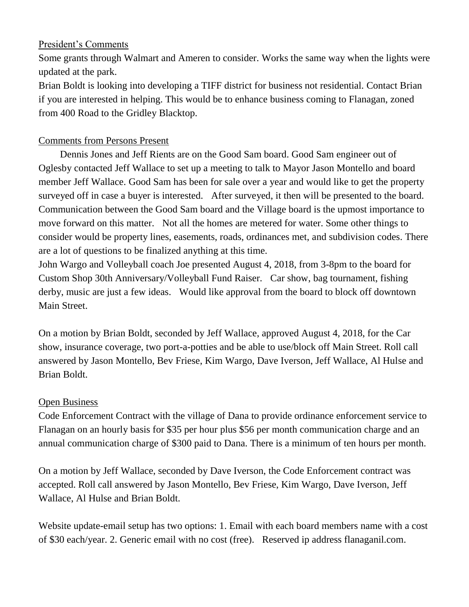### President's Comments

Some grants through Walmart and Ameren to consider. Works the same way when the lights were updated at the park.

Brian Boldt is looking into developing a TIFF district for business not residential. Contact Brian if you are interested in helping. This would be to enhance business coming to Flanagan, zoned from 400 Road to the Gridley Blacktop.

# Comments from Persons Present

Dennis Jones and Jeff Rients are on the Good Sam board. Good Sam engineer out of Oglesby contacted Jeff Wallace to set up a meeting to talk to Mayor Jason Montello and board member Jeff Wallace. Good Sam has been for sale over a year and would like to get the property surveyed off in case a buyer is interested. After surveyed, it then will be presented to the board. Communication between the Good Sam board and the Village board is the upmost importance to move forward on this matter. Not all the homes are metered for water. Some other things to consider would be property lines, easements, roads, ordinances met, and subdivision codes. There are a lot of questions to be finalized anything at this time.

John Wargo and Volleyball coach Joe presented August 4, 2018, from 3-8pm to the board for Custom Shop 30th Anniversary/Volleyball Fund Raiser. Car show, bag tournament, fishing derby, music are just a few ideas. Would like approval from the board to block off downtown Main Street.

On a motion by Brian Boldt, seconded by Jeff Wallace, approved August 4, 2018, for the Car show, insurance coverage, two port-a-potties and be able to use/block off Main Street. Roll call answered by Jason Montello, Bev Friese, Kim Wargo, Dave Iverson, Jeff Wallace, Al Hulse and Brian Boldt.

## Open Business

Code Enforcement Contract with the village of Dana to provide ordinance enforcement service to Flanagan on an hourly basis for \$35 per hour plus \$56 per month communication charge and an annual communication charge of \$300 paid to Dana. There is a minimum of ten hours per month.

On a motion by Jeff Wallace, seconded by Dave Iverson, the Code Enforcement contract was accepted. Roll call answered by Jason Montello, Bev Friese, Kim Wargo, Dave Iverson, Jeff Wallace, Al Hulse and Brian Boldt.

Website update-email setup has two options: 1. Email with each board members name with a cost of \$30 each/year. 2. Generic email with no cost (free). Reserved ip address flanaganil.com.